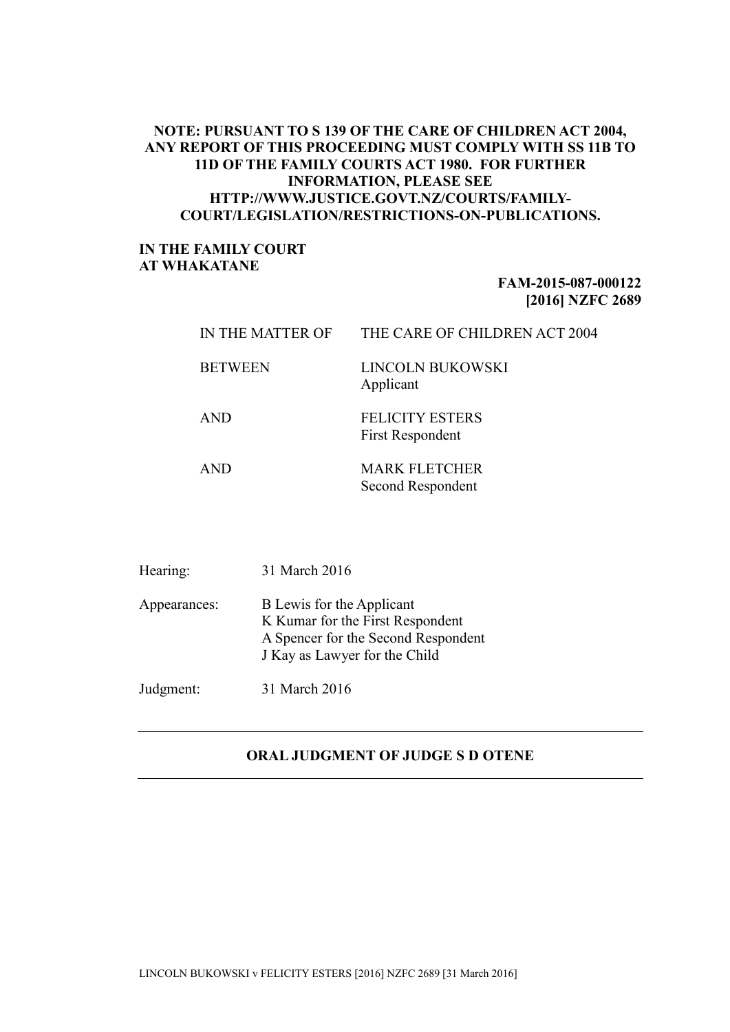## **NOTE: PURSUANT TO S 139 OF THE CARE OF CHILDREN ACT 2004, ANY REPORT OF THIS PROCEEDING MUST COMPLY WITH SS 11B TO 11D OF THE FAMILY COURTS ACT 1980. FOR FURTHER INFORMATION, PLEASE SEE HTTP://WWW.JUSTICE.GOVT.NZ/COURTS/FAMILY-COURT/LEGISLATION/RESTRICTIONS-ON-PUBLICATIONS.**

## **IN THE FAMILY COURT AT WHAKATANE**

## **FAM-2015-087-000122 [2016] NZFC 2689**

| IN THE MATTER OF | THE CARE OF CHILDREN ACT 2004                     |
|------------------|---------------------------------------------------|
| <b>BETWEEN</b>   | LINCOLN BUKOWSKI<br>Applicant                     |
| <b>AND</b>       | <b>FELICITY ESTERS</b><br><b>First Respondent</b> |
| AND.             | <b>MARK FLETCHER</b><br>Second Respondent         |

| Hearing:     | 31 March 2016                                                                                                                         |
|--------------|---------------------------------------------------------------------------------------------------------------------------------------|
| Appearances: | B Lewis for the Applicant<br>K Kumar for the First Respondent<br>A Spencer for the Second Respondent<br>J Kay as Lawyer for the Child |
| Judgment:    | 31 March 2016                                                                                                                         |

## **ORAL JUDGMENT OF JUDGE S D OTENE**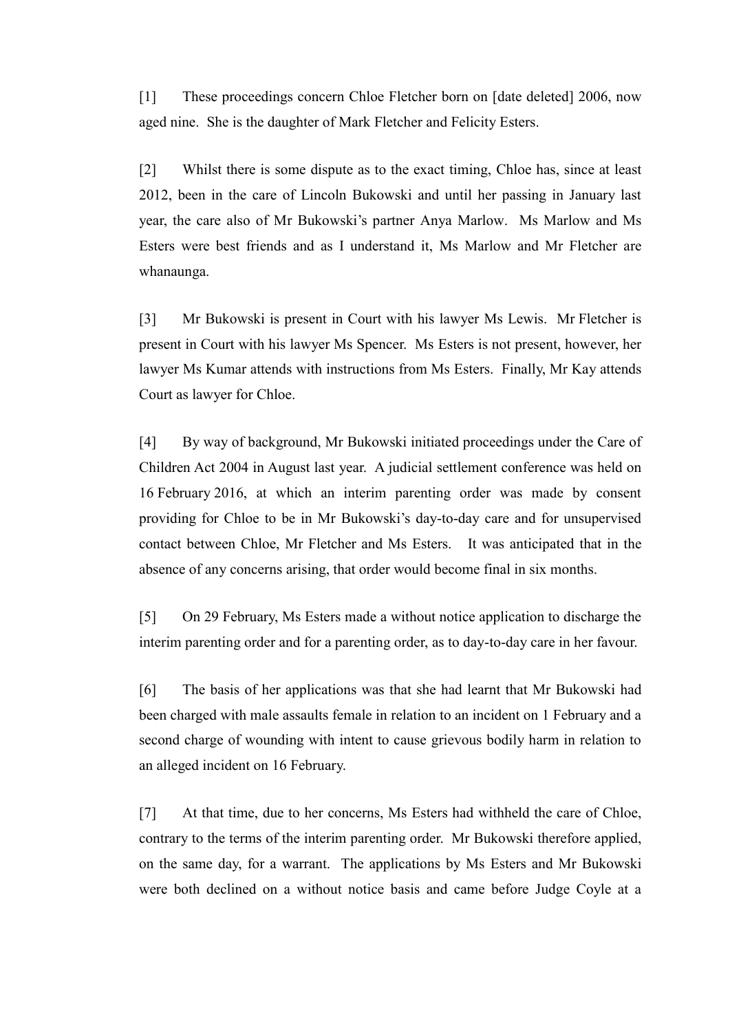[1] These proceedings concern Chloe Fletcher born on [date deleted] 2006, now aged nine. She is the daughter of Mark Fletcher and Felicity Esters.

[2] Whilst there is some dispute as to the exact timing, Chloe has, since at least 2012, been in the care of Lincoln Bukowski and until her passing in January last year, the care also of Mr Bukowski's partner Anya Marlow. Ms Marlow and Ms Esters were best friends and as I understand it, Ms Marlow and Mr Fletcher are whanaunga.

[3] Mr Bukowski is present in Court with his lawyer Ms Lewis. Mr Fletcher is present in Court with his lawyer Ms Spencer. Ms Esters is not present, however, her lawyer Ms Kumar attends with instructions from Ms Esters. Finally, Mr Kay attends Court as lawyer for Chloe.

[4] By way of background, Mr Bukowski initiated proceedings under the Care of Children Act 2004 in August last year. A judicial settlement conference was held on 16 February 2016, at which an interim parenting order was made by consent providing for Chloe to be in Mr Bukowski's day-to-day care and for unsupervised contact between Chloe, Mr Fletcher and Ms Esters. It was anticipated that in the absence of any concerns arising, that order would become final in six months.

[5] On 29 February, Ms Esters made a without notice application to discharge the interim parenting order and for a parenting order, as to day-to-day care in her favour.

[6] The basis of her applications was that she had learnt that Mr Bukowski had been charged with male assaults female in relation to an incident on 1 February and a second charge of wounding with intent to cause grievous bodily harm in relation to an alleged incident on 16 February.

[7] At that time, due to her concerns, Ms Esters had withheld the care of Chloe, contrary to the terms of the interim parenting order. Mr Bukowski therefore applied, on the same day, for a warrant. The applications by Ms Esters and Mr Bukowski were both declined on a without notice basis and came before Judge Coyle at a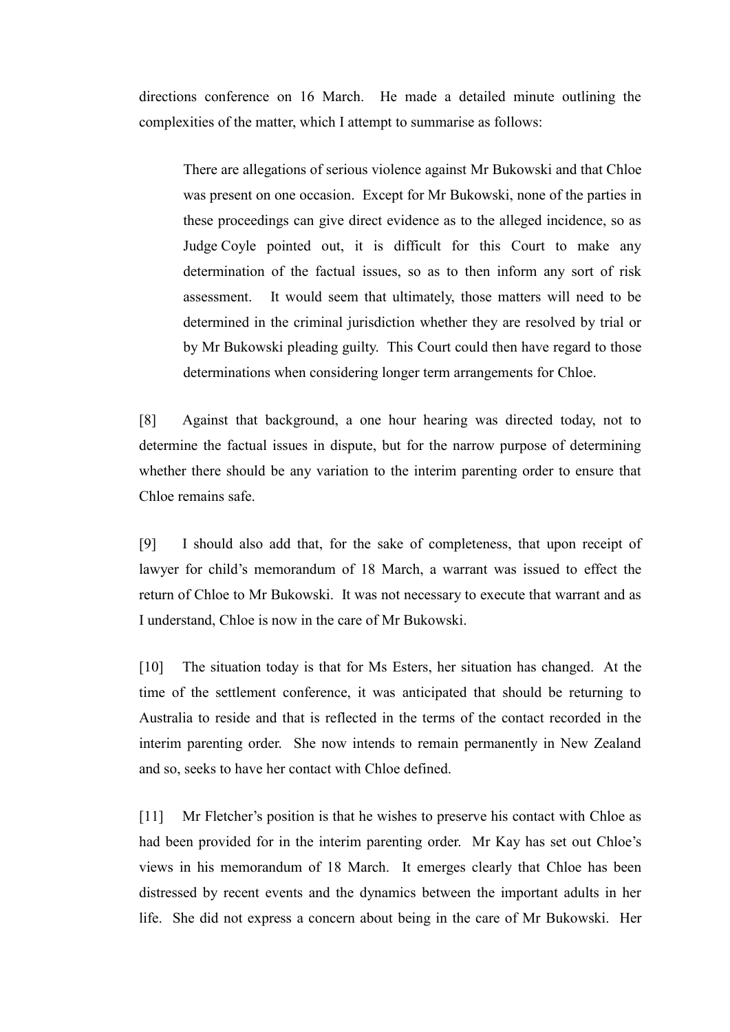directions conference on 16 March. He made a detailed minute outlining the complexities of the matter, which I attempt to summarise as follows:

There are allegations of serious violence against Mr Bukowski and that Chloe was present on one occasion. Except for Mr Bukowski, none of the parties in these proceedings can give direct evidence as to the alleged incidence, so as Judge Coyle pointed out, it is difficult for this Court to make any determination of the factual issues, so as to then inform any sort of risk assessment. It would seem that ultimately, those matters will need to be determined in the criminal jurisdiction whether they are resolved by trial or by Mr Bukowski pleading guilty. This Court could then have regard to those determinations when considering longer term arrangements for Chloe.

[8] Against that background, a one hour hearing was directed today, not to determine the factual issues in dispute, but for the narrow purpose of determining whether there should be any variation to the interim parenting order to ensure that Chloe remains safe.

[9] I should also add that, for the sake of completeness, that upon receipt of lawyer for child's memorandum of 18 March, a warrant was issued to effect the return of Chloe to Mr Bukowski. It was not necessary to execute that warrant and as I understand, Chloe is now in the care of Mr Bukowski.

[10] The situation today is that for Ms Esters, her situation has changed. At the time of the settlement conference, it was anticipated that should be returning to Australia to reside and that is reflected in the terms of the contact recorded in the interim parenting order. She now intends to remain permanently in New Zealand and so, seeks to have her contact with Chloe defined.

[11] Mr Fletcher's position is that he wishes to preserve his contact with Chloe as had been provided for in the interim parenting order. Mr Kay has set out Chloe's views in his memorandum of 18 March. It emerges clearly that Chloe has been distressed by recent events and the dynamics between the important adults in her life. She did not express a concern about being in the care of Mr Bukowski. Her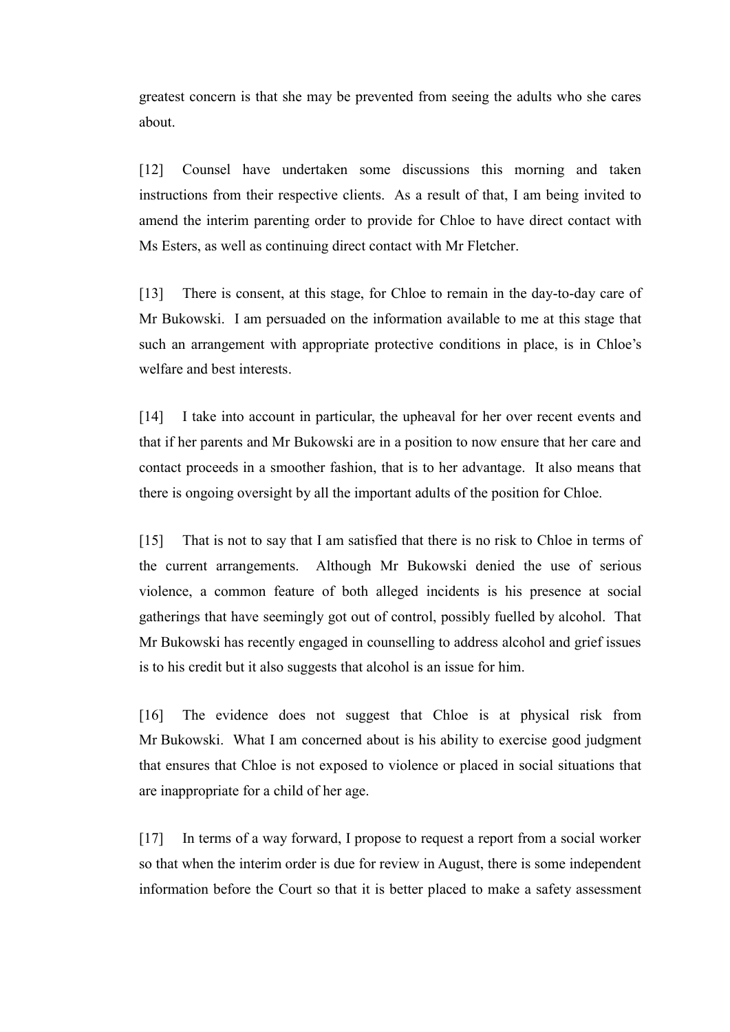greatest concern is that she may be prevented from seeing the adults who she cares about.

[12] Counsel have undertaken some discussions this morning and taken instructions from their respective clients. As a result of that, I am being invited to amend the interim parenting order to provide for Chloe to have direct contact with Ms Esters, as well as continuing direct contact with Mr Fletcher.

[13] There is consent, at this stage, for Chloe to remain in the day-to-day care of Mr Bukowski. I am persuaded on the information available to me at this stage that such an arrangement with appropriate protective conditions in place, is in Chloe's welfare and best interests.

[14] I take into account in particular, the upheaval for her over recent events and that if her parents and Mr Bukowski are in a position to now ensure that her care and contact proceeds in a smoother fashion, that is to her advantage. It also means that there is ongoing oversight by all the important adults of the position for Chloe.

[15] That is not to say that I am satisfied that there is no risk to Chloe in terms of the current arrangements. Although Mr Bukowski denied the use of serious violence, a common feature of both alleged incidents is his presence at social gatherings that have seemingly got out of control, possibly fuelled by alcohol. That Mr Bukowski has recently engaged in counselling to address alcohol and grief issues is to his credit but it also suggests that alcohol is an issue for him.

[16] The evidence does not suggest that Chloe is at physical risk from Mr Bukowski. What I am concerned about is his ability to exercise good judgment that ensures that Chloe is not exposed to violence or placed in social situations that are inappropriate for a child of her age.

[17] In terms of a way forward, I propose to request a report from a social worker so that when the interim order is due for review in August, there is some independent information before the Court so that it is better placed to make a safety assessment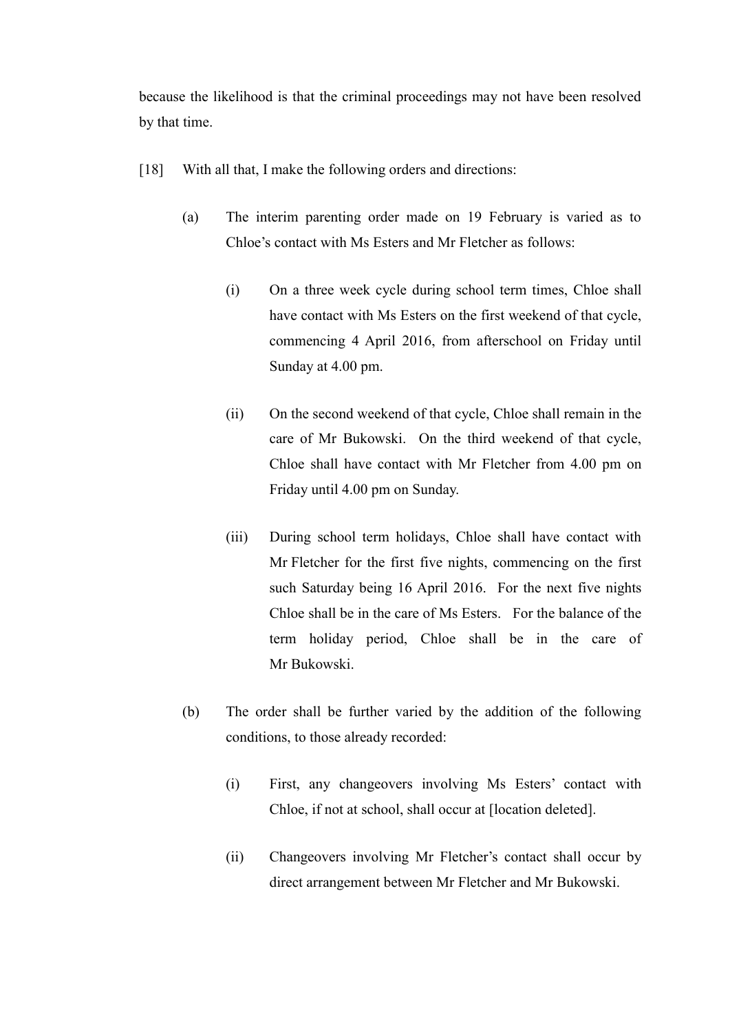because the likelihood is that the criminal proceedings may not have been resolved by that time.

- [18] With all that, I make the following orders and directions:
	- (a) The interim parenting order made on 19 February is varied as to Chloe's contact with Ms Esters and Mr Fletcher as follows:
		- (i) On a three week cycle during school term times, Chloe shall have contact with Ms Esters on the first weekend of that cycle, commencing 4 April 2016, from afterschool on Friday until Sunday at 4.00 pm.
		- (ii) On the second weekend of that cycle, Chloe shall remain in the care of Mr Bukowski. On the third weekend of that cycle, Chloe shall have contact with Mr Fletcher from 4.00 pm on Friday until 4.00 pm on Sunday.
		- (iii) During school term holidays, Chloe shall have contact with Mr Fletcher for the first five nights, commencing on the first such Saturday being 16 April 2016. For the next five nights Chloe shall be in the care of Ms Esters. For the balance of the term holiday period, Chloe shall be in the care of Mr Bukowski.
	- (b) The order shall be further varied by the addition of the following conditions, to those already recorded:
		- (i) First, any changeovers involving Ms Esters' contact with Chloe, if not at school, shall occur at [location deleted].
		- (ii) Changeovers involving Mr Fletcher's contact shall occur by direct arrangement between Mr Fletcher and Mr Bukowski.